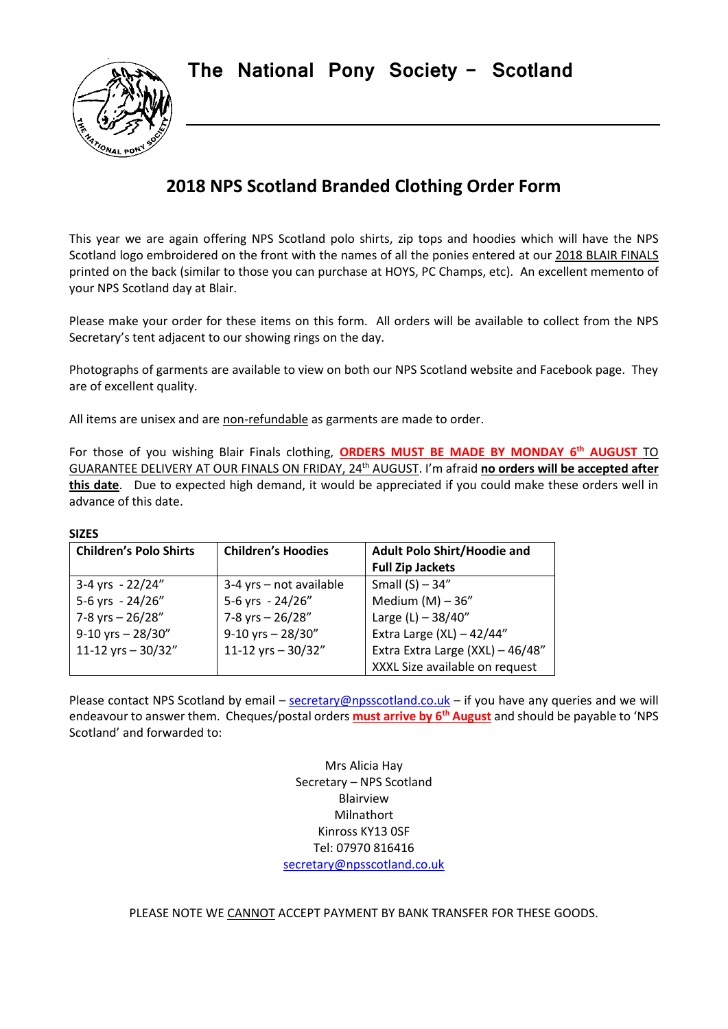**The National Pony Society - Scotland**



# **2018 NPS Scotland Branded Clothing Order Form**

This year we are again offering NPS Scotland polo shirts, zip tops and hoodies which will have the NPS Scotland logo embroidered on the front with the names of all the ponies entered at our 2018 BLAIR FINALS printed on the back (similar to those you can purchase at HOYS, PC Champs, etc). An excellent memento of your NPS Scotland day at Blair.

Please make your order for these items on this form. All orders will be available to collect from the NPS Secretary's tent adjacent to our showing rings on the day.

Photographs of garments are available to view on both our NPS Scotland website and Facebook page. They are of excellent quality.

All items are unisex and are non-refundable as garments are made to order.

For those of you wishing Blair Finals clothing, **ORDERS MUST BE MADE BY MONDAY 6th AUGUST** TO GUARANTEE DELIVERY AT OUR FINALS ON FRIDAY, 24<sup>th</sup> AUGUST. I'm afraid no orders will be accepted after **this date**. Due to expected high demand, it would be appreciated if you could make these orders well in advance of this date.

#### **SIZES**

| <b>Children's Polo Shirts</b> | <b>Children's Hoodies</b> | <b>Adult Polo Shirt/Hoodie and</b> |  |
|-------------------------------|---------------------------|------------------------------------|--|
|                               |                           | <b>Full Zip Jackets</b>            |  |
| 3-4 yrs - $22/24"$            | $3-4$ yrs – not available | Small $(S)$ - 34"                  |  |
| 5-6 yrs - 24/26"              | 5-6 yrs - 24/26"          | Medium $(M) - 36"$                 |  |
| 7-8 yrs - 26/28"              | 7-8 yrs - 26/28"          | Large $(L) - 38/40''$              |  |
| $9-10$ yrs - 28/30"           | $9-10$ yrs - 28/30"       | Extra Large (XL) $-42/44"$         |  |
| 11-12 yrs $-30/32"$           | 11-12 yrs $-30/32"$       | Extra Extra Large (XXL) - 46/48"   |  |
|                               |                           | XXXL Size available on request     |  |

Please contact NPS Scotland by email – [secretary@npsscotland.co.uk](mailto:secretary@npsscotland.co.uk) – if you have any queries and we will endeavour to answer them. Cheques/postal orders **must arrive by 6th August** and should be payable to 'NPS Scotland' and forwarded to:

> Mrs Alicia Hay Secretary – NPS Scotland Blairview Milnathort Kinross KY13 0SF Tel: 07970 816416 [secretary@npsscotland.co.uk](mailto:secretary@npsscotland.co.uk)

PLEASE NOTE WE CANNOT ACCEPT PAYMENT BY BANK TRANSFER FOR THESE GOODS.